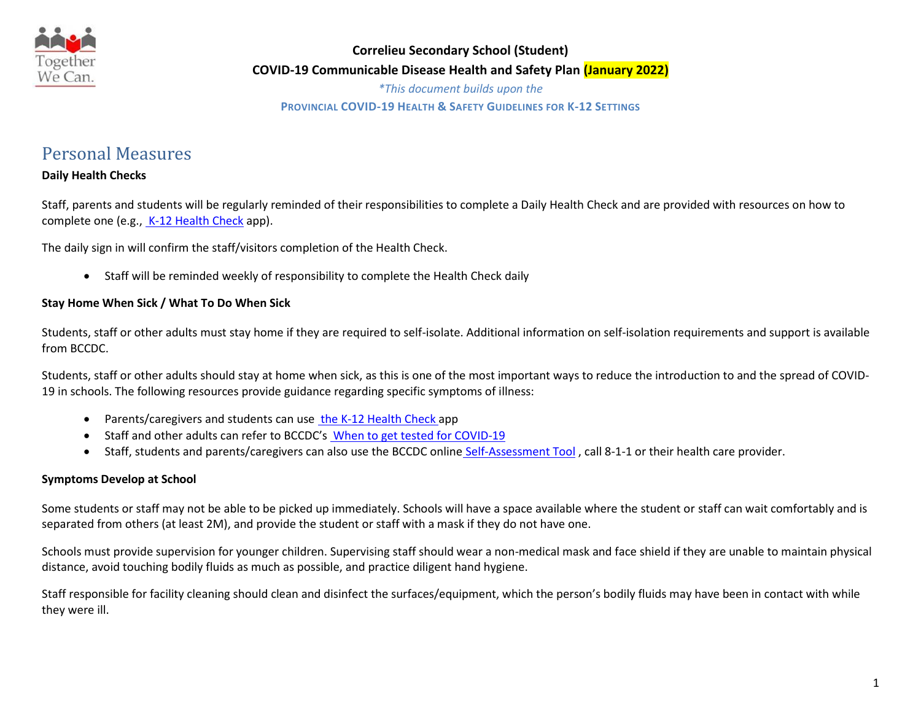

*\*This document builds upon the* **PROVINCIAL COVID-19 HEALTH & SAFETY GUIDELINES FOR K-12 SETTINGS**

# Personal Measures

## **Daily Health Checks**

Staff, parents and students will be regularly reminded of their responsibilities to complete a Daily Health Check and are provided with resources on how to complete one (e.g., [K-12 Health Check](https://www.k12dailycheck.gov.bc.ca/healthcheck?execution=e1s1) app).

The daily sign in will confirm the staff/visitors completion of the Health Check.

Staff will be reminded weekly of responsibility to complete the Health Check daily

#### **Stay Home When Sick / What To Do When Sick**

Students, staff or other adults must stay home if they are required to self-isolate. Additional information on self-isolation requirements and support is available from BCCDC.

Students, staff or other adults should stay at home when sick, as this is one of the most important ways to reduce the introduction to and the spread of COVID-19 in schools. The following resources provide guidance regarding specific symptoms of illness:

- Parents/caregivers and students can use [the K-12 Health Check](https://www.k12dailycheck.gov.bc.ca/healthcheck?execution=e1s1) app
- Staff and other adults can refer to BCCDC's [When to get tested for COVID-19](http://www.bccdc.ca/health-info/diseases-conditions/covid-19/testing/when-to-get-a-covid-19-test)
- Staff, students and parents/caregivers can also use the BCCDC online [Self-Assessment Tool](https://bc.thrive.health/covid19/en), call 8-1-1 or their health care provider.

### **Symptoms Develop at School**

Some students or staff may not be able to be picked up immediately. Schools will have a space available where the student or staff can wait comfortably and is separated from others (at least 2M), and provide the student or staff with a mask if they do not have one.

Schools must provide supervision for younger children. Supervising staff should wear a non-medical mask and face shield if they are unable to maintain physical distance, avoid touching bodily fluids as much as possible, and practice diligent hand hygiene.

Staff responsible for facility cleaning should clean and disinfect the surfaces/equipment, which the person's bodily fluids may have been in contact with while they were ill.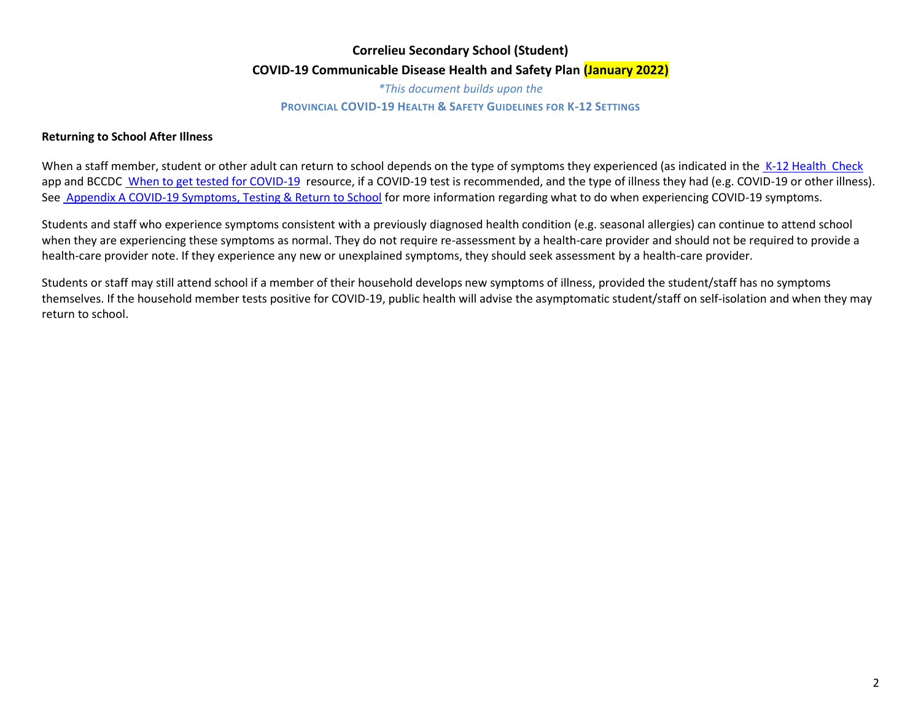*\*This document builds upon the* **PROVINCIAL COVID-19 HEALTH & SAFETY GUIDELINES FOR K-12 SETTINGS**

#### **Returning to School After Illness**

When a staff member, student or other adult can return to school depends on the type of symptoms they experienced (as indicated in the K-12 [Health](https://www.k12dailycheck.gov.bc.ca/healthcheck?execution=e1s1) [Check](https://www.k12dailycheck.gov.bc.ca/healthcheck?execution=e1s1) app and BCCDC [When to get tested for COVID-19](http://www.bccdc.ca/health-info/diseases-conditions/covid-19/testing/when-to-get-a-covid-19-test) resource, if a COVID-19 test is recommended, and the type of illness they had (e.g. COVID-19 or other illness). Se[e Appendix A COVID-19 Symptoms, Testing & Return to School](https://www2.gov.bc.ca/assets/gov/education/administration/kindergarten-to-grade-12/safe-caring-orderly/k-12-covid-19-health-safety-guidlines.pdf) for more information regarding what to do when experiencing COVID-19 symptoms.

Students and staff who experience symptoms consistent with a previously diagnosed health condition (e.g. seasonal allergies) can continue to attend school when they are experiencing these symptoms as normal. They do not require re-assessment by a health-care provider and should not be required to provide a health-care provider note. If they experience any new or unexplained symptoms, they should seek assessment by a health-care provider.

Students or staff may still attend school if a member of their household develops new symptoms of illness, provided the student/staff has no symptoms themselves. If the household member tests positive for COVID-19, public health will advise the asymptomatic student/staff on self-isolation and when they may return to school.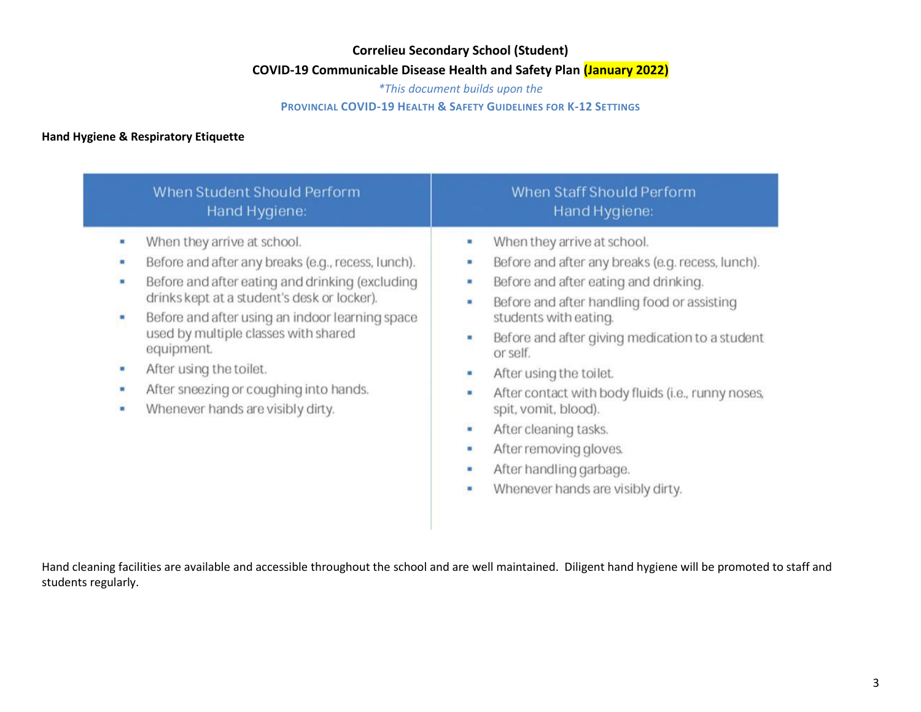**COVID-19 Communicable Disease Health and Safety Plan (January 2022)**

*\*This document builds upon the*

### **PROVINCIAL COVID-19 HEALTH & SAFETY GUIDELINES FOR K-12 SETTINGS**

## **Hand Hygiene & Respiratory Etiquette**

| When Student Should Perform                                                                                                                                                                                                                                                                                                                                                                                                               | When Staff Should Perform                                                                                                                                                                                                                                                                                                                                                                                                                                                                                                                           |
|-------------------------------------------------------------------------------------------------------------------------------------------------------------------------------------------------------------------------------------------------------------------------------------------------------------------------------------------------------------------------------------------------------------------------------------------|-----------------------------------------------------------------------------------------------------------------------------------------------------------------------------------------------------------------------------------------------------------------------------------------------------------------------------------------------------------------------------------------------------------------------------------------------------------------------------------------------------------------------------------------------------|
| Hand Hygiene:                                                                                                                                                                                                                                                                                                                                                                                                                             | Hand Hygiene:                                                                                                                                                                                                                                                                                                                                                                                                                                                                                                                                       |
| When they arrive at school.<br>٠<br>Before and after any breaks (e.g., recess, lunch).<br>٠<br>Before and after eating and drinking (excluding<br>٠<br>drinks kept at a student's desk or locker).<br>Before and after using an indoor learning space<br>٠<br>used by multiple classes with shared<br>equipment.<br>After using the toilet.<br>٠<br>After sneezing or coughing into hands.<br>٠<br>Whenever hands are visibly dirty.<br>٠ | When they arrive at school.<br>٠<br>Before and after any breaks (e.g. recess, lunch).<br>п<br>Before and after eating and drinking.<br>٠<br>Before and after handling food or assisting<br>٠<br>students with eating.<br>Before and after giving medication to a student<br>п<br>or self.<br>After using the toilet.<br>۴<br>After contact with body fluids (i.e., runny noses,<br>٠<br>spit, vomit, blood).<br>٠<br>After cleaning tasks.<br>After removing gloves.<br>٠<br>After handling garbage.<br>٠<br>Whenever hands are visibly dirty.<br>٠ |

Hand cleaning facilities are available and accessible throughout the school and are well maintained. Diligent hand hygiene will be promoted to staff and students regularly.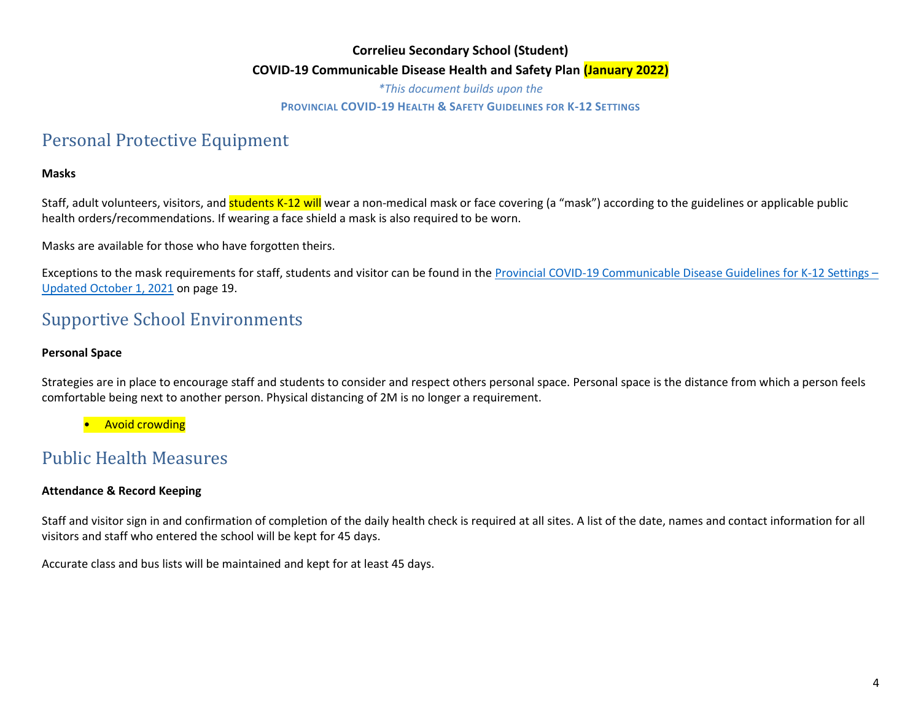*\*This document builds upon the*

#### **PROVINCIAL COVID-19 HEALTH & SAFETY GUIDELINES FOR K-12 SETTINGS**

# Personal Protective Equipment

### **Masks**

Staff, adult volunteers, visitors, and students K-12 will wear a non-medical mask or face covering (a "mask") according to the guidelines or applicable public health orders/recommendations. If wearing a face shield a mask is also required to be worn.

Masks are available for those who have forgotten theirs.

Exceptions to the mask requirements for staff, students and visitor can be found in th[e Provincial COVID-19 Communicable Disease Guidelines for K-12 Settings](https://www2.gov.bc.ca/assets/gov/education/administration/kindergarten-to-grade-12/safe-caring-orderly/k-12-covid-19-health-safety-guidlines.pdf) – [Updated October 1, 2021](https://www2.gov.bc.ca/assets/gov/education/administration/kindergarten-to-grade-12/safe-caring-orderly/k-12-covid-19-health-safety-guidlines.pdf) on page 19.

# Supportive School Environments

#### **Personal Space**

Strategies are in place to encourage staff and students to consider and respect others personal space. Personal space is the distance from which a person feels comfortable being next to another person. Physical distancing of 2M is no longer a requirement.

• Avoid crowding

# Public Health Measures

### **Attendance & Record Keeping**

Staff and visitor sign in and confirmation of completion of the daily health check is required at all sites. A list of the date, names and contact information for all visitors and staff who entered the school will be kept for 45 days.

Accurate class and bus lists will be maintained and kept for at least 45 days.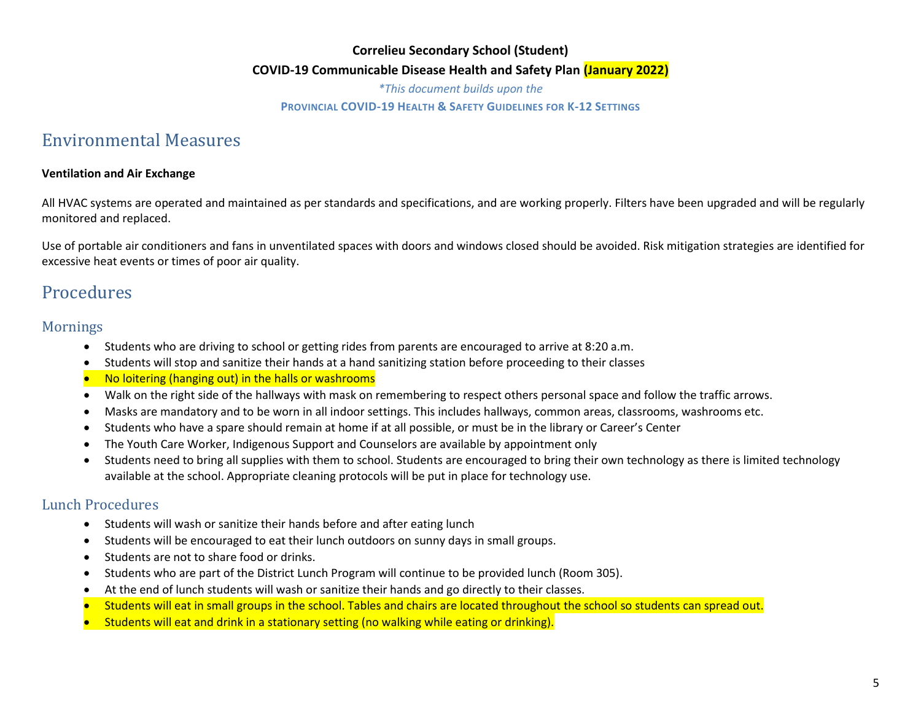#### **COVID-19 Communicable Disease Health and Safety Plan (January 2022)**

*\*This document builds upon the*

#### **PROVINCIAL COVID-19 HEALTH & SAFETY GUIDELINES FOR K-12 SETTINGS**

# Environmental Measures

#### **Ventilation and Air Exchange**

All HVAC systems are operated and maintained as per standards and specifications, and are working properly. Filters have been upgraded and will be regularly monitored and replaced.

Use of portable air conditioners and fans in unventilated spaces with doors and windows closed should be avoided. Risk mitigation strategies are identified for excessive heat events or times of poor air quality.

# Procedures

## Mornings

- Students who are driving to school or getting rides from parents are encouraged to arrive at 8:20 a.m.
- Students will stop and sanitize their hands at a hand sanitizing station before proceeding to their classes
- No loitering (hanging out) in the halls or washrooms
- Walk on the right side of the hallways with mask on remembering to respect others personal space and follow the traffic arrows.
- Masks are mandatory and to be worn in all indoor settings. This includes hallways, common areas, classrooms, washrooms etc.
- Students who have a spare should remain at home if at all possible, or must be in the library or Career's Center
- The Youth Care Worker, Indigenous Support and Counselors are available by appointment only
- Students need to bring all supplies with them to school. Students are encouraged to bring their own technology as there is limited technology available at the school. Appropriate cleaning protocols will be put in place for technology use.

## Lunch Procedures

- Students will wash or sanitize their hands before and after eating lunch
- Students will be encouraged to eat their lunch outdoors on sunny days in small groups.
- Students are not to share food or drinks.
- Students who are part of the District Lunch Program will continue to be provided lunch (Room 305).
- At the end of lunch students will wash or sanitize their hands and go directly to their classes.
- Students will eat in small groups in the school. Tables and chairs are located throughout the school so students can spread out.
- Students will eat and drink in a stationary setting (no walking while eating or drinking).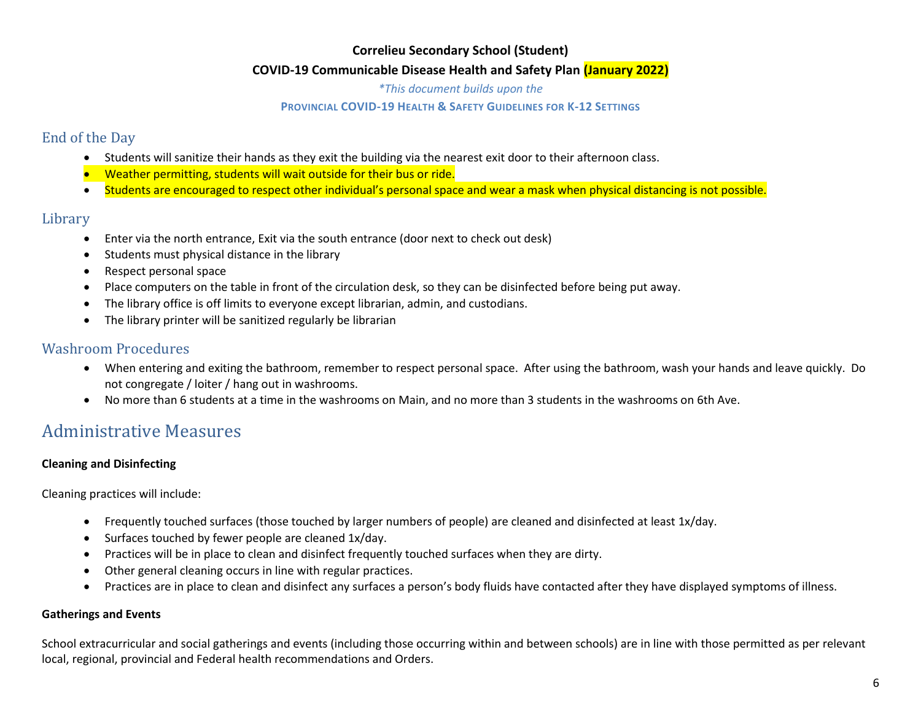### **COVID-19 Communicable Disease Health and Safety Plan (January 2022)**

*\*This document builds upon the*

#### **PROVINCIAL COVID-19 HEALTH & SAFETY GUIDELINES FOR K-12 SETTINGS**

## End of the Day

- Students will sanitize their hands as they exit the building via the nearest exit door to their afternoon class.
- Weather permitting, students will wait outside for their bus or ride.
- Students are encouraged to respect other individual's personal space and wear a mask when physical distancing is not possible.

## Library

- Enter via the north entrance, Exit via the south entrance (door next to check out desk)
- Students must physical distance in the library
- Respect personal space
- Place computers on the table in front of the circulation desk, so they can be disinfected before being put away.
- The library office is off limits to everyone except librarian, admin, and custodians.
- The library printer will be sanitized regularly be librarian

## Washroom Procedures

- When entering and exiting the bathroom, remember to respect personal space. After using the bathroom, wash your hands and leave quickly. Do not congregate / loiter / hang out in washrooms.
- No more than 6 students at a time in the washrooms on Main, and no more than 3 students in the washrooms on 6th Ave.

# Administrative Measures

## **Cleaning and Disinfecting**

Cleaning practices will include:

- Frequently touched surfaces (those touched by larger numbers of people) are cleaned and disinfected at least 1x/day.
- Surfaces touched by fewer people are cleaned 1x/day.
- Practices will be in place to clean and disinfect frequently touched surfaces when they are dirty.
- Other general cleaning occurs in line with regular practices.
- Practices are in place to clean and disinfect any surfaces a person's body fluids have contacted after they have displayed symptoms of illness.

## **Gatherings and Events**

School extracurricular and social gatherings and events (including those occurring within and between schools) are in line with those permitted as per relevant local, regional, provincial and Federal health recommendations and Orders.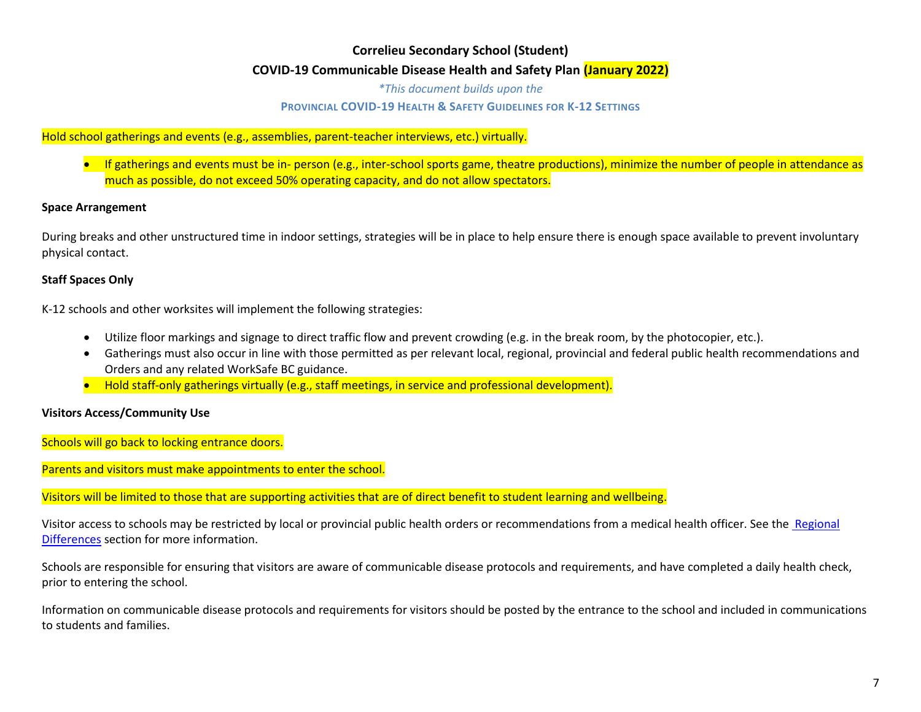*\*This document builds upon the*

#### **PROVINCIAL COVID-19 HEALTH & SAFETY GUIDELINES FOR K-12 SETTINGS**

### Hold school gatherings and events (e.g., assemblies, parent-teacher interviews, etc.) virtually.

• If gatherings and events must be in- person (e.g., inter-school sports game, theatre productions), minimize the number of people in attendance as much as possible, do not exceed 50% operating capacity, and do not allow spectators.

#### **Space Arrangement**

During breaks and other unstructured time in indoor settings, strategies will be in place to help ensure there is enough space available to prevent involuntary physical contact.

#### **Staff Spaces Only**

K-12 schools and other worksites will implement the following strategies:

- Utilize floor markings and signage to direct traffic flow and prevent crowding (e.g. in the break room, by the photocopier, etc.).
- Gatherings must also occur in line with those permitted as per relevant local, regional, provincial and federal public health recommendations and Orders and any related WorkSafe BC guidance.
- Hold staff-only gatherings virtually (e.g., staff meetings, in service and professional development).

#### **Visitors Access/Community Use**

Schools will go back to locking entrance doors.

Parents and visitors must make appointments to enter the school.

Visitors will be limited to those that are supporting activities that are of direct benefit to student learning and wellbeing.

Visitor access to schools may be restricted by local or provincial public health orders or recommendations from a medical health officer. See the Regional [Differences](https://www2.gov.bc.ca/assets/gov/education/administration/kindergarten-to-grade-12/safe-caring-orderly/k-12-covid-19-health-safety-guidlines.pdf) section for more information.

Schools are responsible for ensuring that visitors are aware of communicable disease protocols and requirements, and have completed a daily health check, prior to entering the school.

Information on communicable disease protocols and requirements for visitors should be posted by the entrance to the school and included in communications to students and families.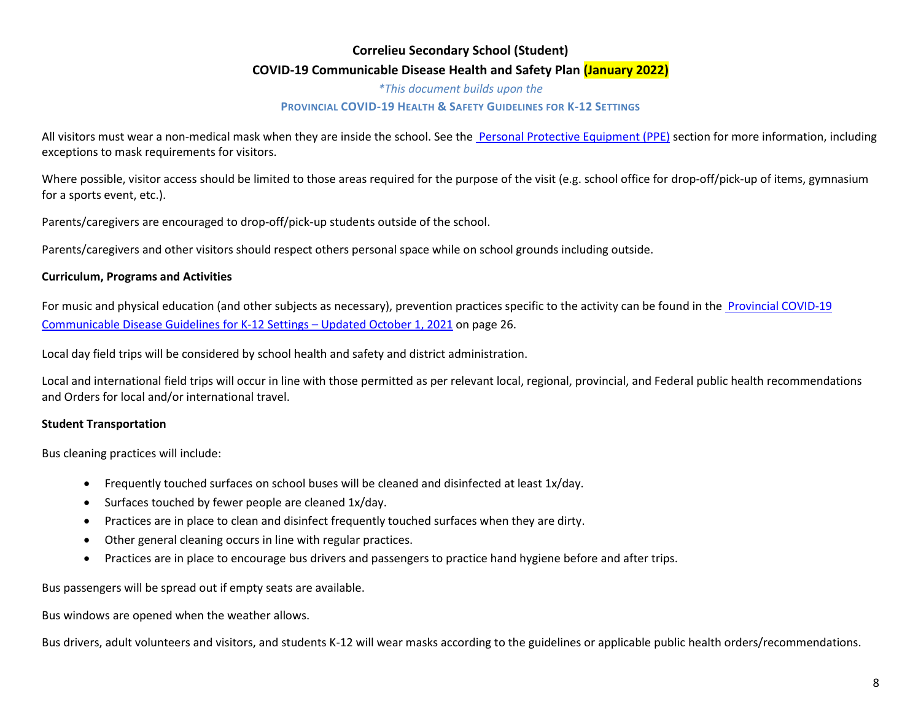### **COVID-19 Communicable Disease Health and Safety Plan (January 2022)**

*\*This document builds upon the* **PROVINCIAL COVID-19 HEALTH & SAFETY GUIDELINES FOR K-12 SETTINGS**

All visitors must wear a non-medical mask when they are inside the school. See the [Personal Protective Equipment \(PPE\)](https://www2.gov.bc.ca/assets/gov/education/administration/kindergarten-to-grade-12/safe-caring-orderly/k-12-covid-19-health-safety-guidlines.pdf) section for more information, including exceptions to mask requirements for visitors.

Where possible, visitor access should be limited to those areas required for the purpose of the visit (e.g. school office for drop-off/pick-up of items, gymnasium for a sports event, etc.).

Parents/caregivers are encouraged to drop-off/pick-up students outside of the school.

Parents/caregivers and other visitors should respect others personal space while on school grounds including outside.

### **Curriculum, Programs and Activities**

For music and physical education (and other subjects as necessary), prevention practices specific to the activity can be found in the Provincial COVID-19 [Communicable Disease Guidelines for K-12 Settings](https://www2.gov.bc.ca/assets/gov/education/administration/kindergarten-to-grade-12/safe-caring-orderly/k-12-covid-19-health-safety-guidlines.pdf) – Updated October 1, 2021 on page 26.

Local day field trips will be considered by school health and safety and district administration.

Local and international field trips will occur in line with those permitted as per relevant local, regional, provincial, and Federal public health recommendations and Orders for local and/or international travel.

#### **Student Transportation**

Bus cleaning practices will include:

- Frequently touched surfaces on school buses will be cleaned and disinfected at least 1x/day.
- Surfaces touched by fewer people are cleaned 1x/day.
- Practices are in place to clean and disinfect frequently touched surfaces when they are dirty.
- Other general cleaning occurs in line with regular practices.
- Practices are in place to encourage bus drivers and passengers to practice hand hygiene before and after trips.

Bus passengers will be spread out if empty seats are available.

Bus windows are opened when the weather allows.

Bus drivers, adult volunteers and visitors, and students K-12 will wear masks according to the guidelines or applicable public health orders/recommendations.